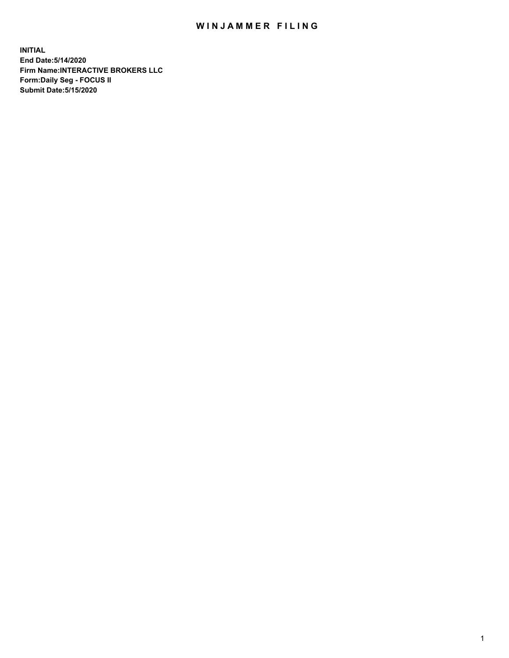## WIN JAMMER FILING

**INITIAL End Date:5/14/2020 Firm Name:INTERACTIVE BROKERS LLC Form:Daily Seg - FOCUS II Submit Date:5/15/2020**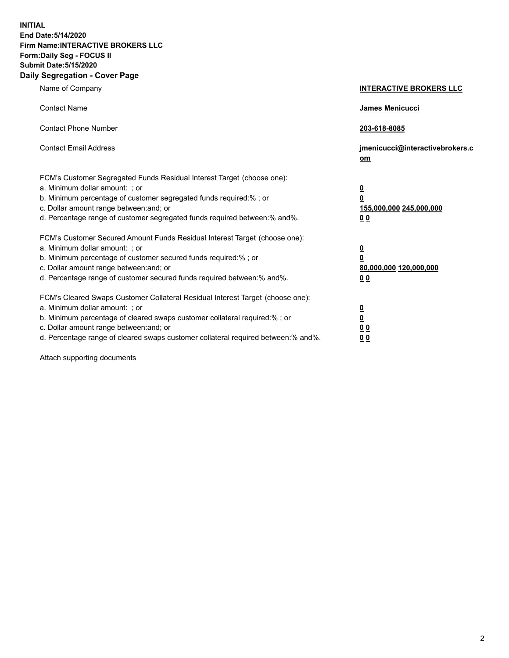**INITIAL End Date:5/14/2020 Firm Name:INTERACTIVE BROKERS LLC Form:Daily Seg - FOCUS II Submit Date:5/15/2020 Daily Segregation - Cover Page**

| Name of Company                                                                                                                                                                                                                                                                                                                | <b>INTERACTIVE BROKERS LLC</b>                                                   |
|--------------------------------------------------------------------------------------------------------------------------------------------------------------------------------------------------------------------------------------------------------------------------------------------------------------------------------|----------------------------------------------------------------------------------|
| <b>Contact Name</b>                                                                                                                                                                                                                                                                                                            | James Menicucci                                                                  |
| <b>Contact Phone Number</b>                                                                                                                                                                                                                                                                                                    | 203-618-8085                                                                     |
| <b>Contact Email Address</b>                                                                                                                                                                                                                                                                                                   | jmenicucci@interactivebrokers.c<br>om                                            |
| FCM's Customer Segregated Funds Residual Interest Target (choose one):<br>a. Minimum dollar amount: ; or<br>b. Minimum percentage of customer segregated funds required:% ; or<br>c. Dollar amount range between: and; or<br>d. Percentage range of customer segregated funds required between:% and%.                         | <u>0</u><br>$\overline{\mathbf{0}}$<br>155,000,000 245,000,000<br>0 <sub>0</sub> |
| FCM's Customer Secured Amount Funds Residual Interest Target (choose one):<br>a. Minimum dollar amount: ; or<br>b. Minimum percentage of customer secured funds required:% ; or<br>c. Dollar amount range between: and; or<br>d. Percentage range of customer secured funds required between:% and%.                           | <u>0</u><br>$\overline{\mathbf{0}}$<br>80,000,000 120,000,000<br>0 <sub>0</sub>  |
| FCM's Cleared Swaps Customer Collateral Residual Interest Target (choose one):<br>a. Minimum dollar amount: ; or<br>b. Minimum percentage of cleared swaps customer collateral required:% ; or<br>c. Dollar amount range between: and; or<br>d. Percentage range of cleared swaps customer collateral required between:% and%. | <u>0</u><br>$\underline{\mathbf{0}}$<br>0 <sub>0</sub><br>0 <sub>0</sub>         |

Attach supporting documents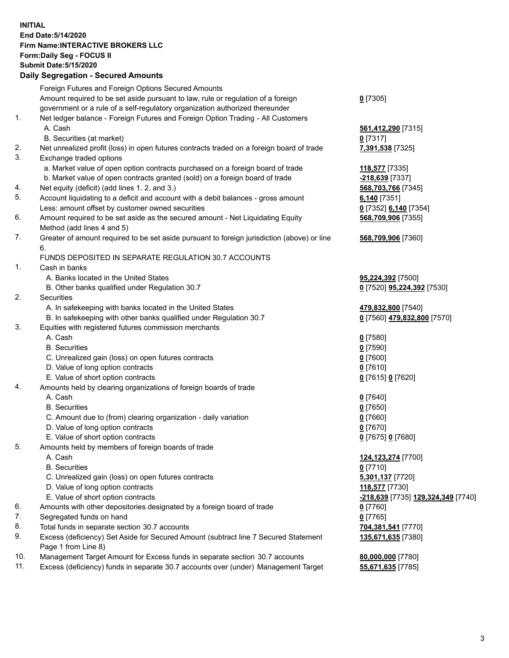**INITIAL End Date:5/14/2020 Firm Name:INTERACTIVE BROKERS LLC Form:Daily Seg - FOCUS II Submit Date:5/15/2020 Daily Segregation - Secured Amounts**

|     | Daily Ocglegation - Occuled Anioants                                                                       |                                    |
|-----|------------------------------------------------------------------------------------------------------------|------------------------------------|
|     | Foreign Futures and Foreign Options Secured Amounts                                                        |                                    |
|     | Amount required to be set aside pursuant to law, rule or regulation of a foreign                           | $0$ [7305]                         |
|     | government or a rule of a self-regulatory organization authorized thereunder                               |                                    |
| 1.  | Net ledger balance - Foreign Futures and Foreign Option Trading - All Customers                            |                                    |
|     | A. Cash                                                                                                    | 561,412,290 [7315]                 |
|     | B. Securities (at market)                                                                                  | $0$ [7317]                         |
| 2.  | Net unrealized profit (loss) in open futures contracts traded on a foreign board of trade                  | 7,391,538 [7325]                   |
| 3.  | Exchange traded options                                                                                    |                                    |
|     | a. Market value of open option contracts purchased on a foreign board of trade                             | 118,577 [7335]                     |
|     | b. Market value of open contracts granted (sold) on a foreign board of trade                               | $-218,639$ [7337]                  |
| 4.  | Net equity (deficit) (add lines 1. 2. and 3.)                                                              | 568,703,766 [7345]                 |
| 5.  | Account liquidating to a deficit and account with a debit balances - gross amount                          | $6,140$ [7351]                     |
|     | Less: amount offset by customer owned securities                                                           | 0 [7352] 6,140 [7354]              |
| 6.  | Amount required to be set aside as the secured amount - Net Liquidating Equity                             | 568,709,906 [7355]                 |
|     | Method (add lines 4 and 5)                                                                                 |                                    |
| 7.  | Greater of amount required to be set aside pursuant to foreign jurisdiction (above) or line                | 568,709,906 [7360]                 |
|     | 6.                                                                                                         |                                    |
|     | FUNDS DEPOSITED IN SEPARATE REGULATION 30.7 ACCOUNTS                                                       |                                    |
| 1.  | Cash in banks                                                                                              |                                    |
|     | A. Banks located in the United States                                                                      | 95,224,392 [7500]                  |
|     | B. Other banks qualified under Regulation 30.7                                                             | 0 [7520] 95,224,392 [7530]         |
| 2.  | Securities                                                                                                 |                                    |
|     | A. In safekeeping with banks located in the United States                                                  | 479,832,800 [7540]                 |
|     | B. In safekeeping with other banks qualified under Regulation 30.7                                         | 0 [7560] 479,832,800 [7570]        |
| 3.  | Equities with registered futures commission merchants                                                      |                                    |
|     | A. Cash                                                                                                    | $0$ [7580]                         |
|     | <b>B.</b> Securities                                                                                       | $0$ [7590]                         |
|     | C. Unrealized gain (loss) on open futures contracts                                                        | $0$ [7600]                         |
|     | D. Value of long option contracts                                                                          | $0$ [7610]                         |
|     | E. Value of short option contracts                                                                         | 0 [7615] 0 [7620]                  |
| 4.  | Amounts held by clearing organizations of foreign boards of trade                                          |                                    |
|     | A. Cash                                                                                                    | $0$ [7640]                         |
|     | <b>B.</b> Securities                                                                                       | $0$ [7650]                         |
|     | C. Amount due to (from) clearing organization - daily variation                                            | $0$ [7660]                         |
|     | D. Value of long option contracts                                                                          | $0$ [7670]                         |
|     | E. Value of short option contracts                                                                         | 0 [7675] 0 [7680]                  |
| 5.  | Amounts held by members of foreign boards of trade                                                         |                                    |
|     | A. Cash                                                                                                    | 124, 123, 274 [7700]               |
|     | <b>B.</b> Securities                                                                                       | $0$ [7710]                         |
|     | C. Unrealized gain (loss) on open futures contracts                                                        | 5,301,137 [7720]                   |
|     | D. Value of long option contracts                                                                          | 118,577 [7730]                     |
|     | E. Value of short option contracts                                                                         | -218,639 [7735] 129,324,349 [7740] |
| 6.  | Amounts with other depositories designated by a foreign board of trade                                     | 0 [7760]                           |
| 7.  | Segregated funds on hand                                                                                   | $0$ [7765]                         |
| 8.  | Total funds in separate section 30.7 accounts                                                              | 704,381,541 [7770]                 |
| 9.  | Excess (deficiency) Set Aside for Secured Amount (subtract line 7 Secured Statement<br>Page 1 from Line 8) | 135,671,635 [7380]                 |
| 10. | Management Target Amount for Excess funds in separate section 30.7 accounts                                | 80,000,000 [7780]                  |
| 11. | Excess (deficiency) funds in separate 30.7 accounts over (under) Management Target                         | 55,671,635 [7785]                  |
|     |                                                                                                            |                                    |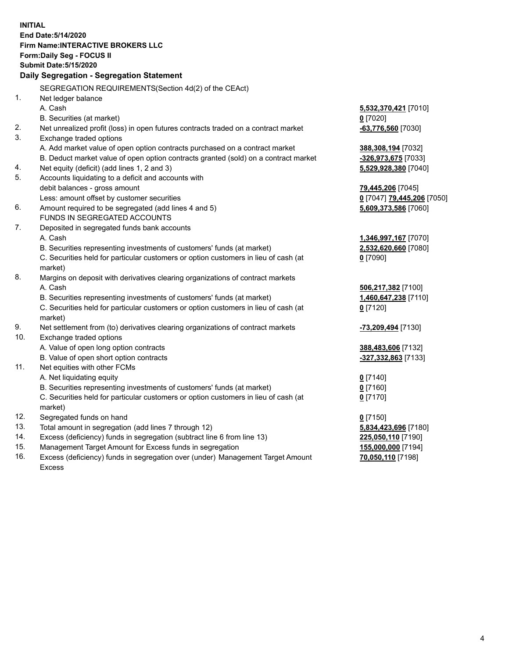**INITIAL End Date:5/14/2020 Firm Name:INTERACTIVE BROKERS LLC Form:Daily Seg - FOCUS II Submit Date:5/15/2020 Daily Segregation - Segregation Statement** SEGREGATION REQUIREMENTS(Section 4d(2) of the CEAct) 1. Net ledger balance A. Cash **5,532,370,421** [7010] B. Securities (at market) **0** [7020] 2. Net unrealized profit (loss) in open futures contracts traded on a contract market **-63,776,560** [7030] 3. Exchange traded options A. Add market value of open option contracts purchased on a contract market **388,308,194** [7032] B. Deduct market value of open option contracts granted (sold) on a contract market **-326,973,675** [7033] 4. Net equity (deficit) (add lines 1, 2 and 3) **5,529,928,380** [7040] 5. Accounts liquidating to a deficit and accounts with debit balances - gross amount **79,445,206** [7045] Less: amount offset by customer securities **0** [7047] **79,445,206** [7050] 6. Amount required to be segregated (add lines 4 and 5) **5,609,373,586** [7060] FUNDS IN SEGREGATED ACCOUNTS 7. Deposited in segregated funds bank accounts A. Cash **1,346,997,167** [7070] B. Securities representing investments of customers' funds (at market) **2,532,620,660** [7080] C. Securities held for particular customers or option customers in lieu of cash (at market) **0** [7090] 8. Margins on deposit with derivatives clearing organizations of contract markets A. Cash **506,217,382** [7100] B. Securities representing investments of customers' funds (at market) **1,460,647,238** [7110] C. Securities held for particular customers or option customers in lieu of cash (at market) **0** [7120] 9. Net settlement from (to) derivatives clearing organizations of contract markets **-73,209,494** [7130] 10. Exchange traded options A. Value of open long option contracts **388,483,606** [7132] B. Value of open short option contracts **-327,332,863** [7133] 11. Net equities with other FCMs A. Net liquidating equity **0** [7140] B. Securities representing investments of customers' funds (at market) **0** [7160] C. Securities held for particular customers or option customers in lieu of cash (at market) **0** [7170] 12. Segregated funds on hand **0** [7150] 13. Total amount in segregation (add lines 7 through 12) **5,834,423,696** [7180] 14. Excess (deficiency) funds in segregation (subtract line 6 from line 13) **225,050,110** [7190] 15. Management Target Amount for Excess funds in segregation **155,000,000** [7194] 16. Excess (deficiency) funds in segregation over (under) Management Target Amount **70,050,110** [7198]

Excess